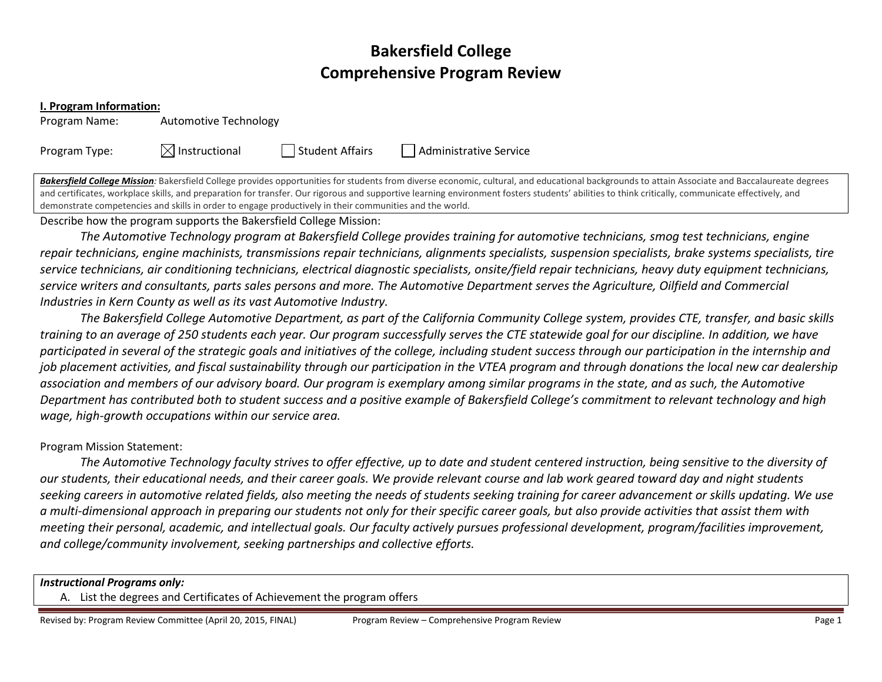# Bakersfield College Comprehensive Program Review

#### I. Program Information:

Program Name: Automotive Technology

Program Type:  $\boxtimes$  Instructional  $\Box$  Student Affairs  $\Box$  Administrative Service

Bakersfield College Mission: Bakersfield College provides opportunities for students from diverse economic, cultural, and educational backgrounds to attain Associate and Baccalaureate degrees and certificates, workplace skills, and preparation for transfer. Our rigorous and supportive learning environment fosters students' abilities to think critically, communicate effectively, and demonstrate competencies and skills in order to engage productively in their communities and the world.

#### Describe how the program supports the Bakersfield College Mission:

The Automotive Technology program at Bakersfield College provides training for automotive technicians, smog test technicians, engine repair technicians, engine machinists, transmissions repair technicians, alignments specialists, suspension specialists, brake systems specialists, tire service technicians, air conditioning technicians, electrical diagnostic specialists, onsite/field repair technicians, heavy duty equipment technicians, service writers and consultants, parts sales persons and more. The Automotive Department serves the Agriculture, Oilfield and Commercial Industries in Kern County as well as its vast Automotive Industry.

The Bakersfield College Automotive Department, as part of the California Community College system, provides CTE, transfer, and basic skills training to an average of 250 students each year. Our program successfully serves the CTE statewide goal for our discipline. In addition, we have participated in several of the strategic goals and initiatives of the college, including student success through our participation in the internship and job placement activities, and fiscal sustainability through our participation in the VTEA program and through donations the local new car dealership association and members of our advisory board. Our program is exemplary among similar programs in the state, and as such, the Automotive Department has contributed both to student success and a positive example of Bakersfield College's commitment to relevant technology and high wage, high-growth occupations within our service area.

#### Program Mission Statement:

The Automotive Technology faculty strives to offer effective, up to date and student centered instruction, being sensitive to the diversity of our students, their educational needs, and their career goals. We provide relevant course and lab work geared toward day and night students seeking careers in automotive related fields, also meeting the needs of students seeking training for career advancement or skills updating. We use a multi-dimensional approach in preparing our students not only for their specific career goals, but also provide activities that assist them with meeting their personal, academic, and intellectual goals. Our faculty actively pursues professional development, program/facilities improvement, and college/community involvement, seeking partnerships and collective efforts.

#### Instructional Programs only:

A. List the degrees and Certificates of Achievement the program offers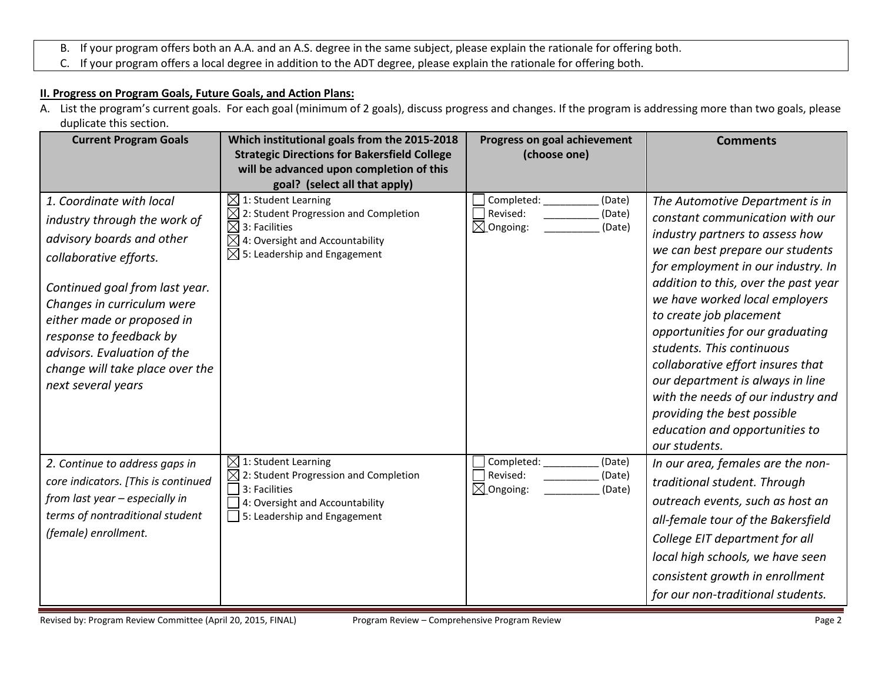- B. If your program offers both an A.A. and an A.S. degree in the same subject, please explain the rationale for offering both.
- C. If your program offers a local degree in addition to the ADT degree, please explain the rationale for offering both.

### II. Progress on Program Goals, Future Goals, and Action Plans:

A. List the program's current goals. For each goal (minimum of 2 goals), discuss progress and changes. If the program is addressing more than two goals, please duplicate this section.

| <b>Current Program Goals</b>                                                                                                                                                                                                                                                                                                     | Which institutional goals from the 2015-2018<br><b>Strategic Directions for Bakersfield College</b><br>will be advanced upon completion of this<br>goal? (select all that apply)                             | Progress on goal achievement<br>(choose one)                                 | <b>Comments</b>                                                                                                                                                                                                                                                                                                                                                                                                                                                                                                                                        |
|----------------------------------------------------------------------------------------------------------------------------------------------------------------------------------------------------------------------------------------------------------------------------------------------------------------------------------|--------------------------------------------------------------------------------------------------------------------------------------------------------------------------------------------------------------|------------------------------------------------------------------------------|--------------------------------------------------------------------------------------------------------------------------------------------------------------------------------------------------------------------------------------------------------------------------------------------------------------------------------------------------------------------------------------------------------------------------------------------------------------------------------------------------------------------------------------------------------|
| 1. Coordinate with local<br>industry through the work of<br>advisory boards and other<br>collaborative efforts.<br>Continued goal from last year.<br>Changes in curriculum were<br>either made or proposed in<br>response to feedback by<br>advisors. Evaluation of the<br>change will take place over the<br>next several years | $\boxtimes$ 1: Student Learning<br>$\boxtimes$ 2: Student Progression and Completion<br>$\boxtimes$ 3: Facilities<br>$\boxtimes$ 4: Oversight and Accountability<br>$\boxtimes$ 5: Leadership and Engagement | Completed:<br>(Date)<br>Revised:<br>(Date)<br>$\boxtimes$ Ongoing:<br>(Date) | The Automotive Department is in<br>constant communication with our<br>industry partners to assess how<br>we can best prepare our students<br>for employment in our industry. In<br>addition to this, over the past year<br>we have worked local employers<br>to create job placement<br>opportunities for our graduating<br>students. This continuous<br>collaborative effort insures that<br>our department is always in line<br>with the needs of our industry and<br>providing the best possible<br>education and opportunities to<br>our students. |
| 2. Continue to address gaps in<br>core indicators. [This is continued<br>from last year - especially in<br>terms of nontraditional student<br>(female) enrollment.                                                                                                                                                               | $\boxtimes$ 1: Student Learning<br>2: Student Progression and Completion<br>3: Facilities<br>4: Oversight and Accountability<br>5: Leadership and Engagement                                                 | Completed:<br>(Date)<br>Revised:<br>(Date)<br>$\boxtimes$ Ongoing:<br>(Date) | In our area, females are the non-<br>traditional student. Through<br>outreach events, such as host an<br>all-female tour of the Bakersfield<br>College EIT department for all<br>local high schools, we have seen<br>consistent growth in enrollment<br>for our non-traditional students.                                                                                                                                                                                                                                                              |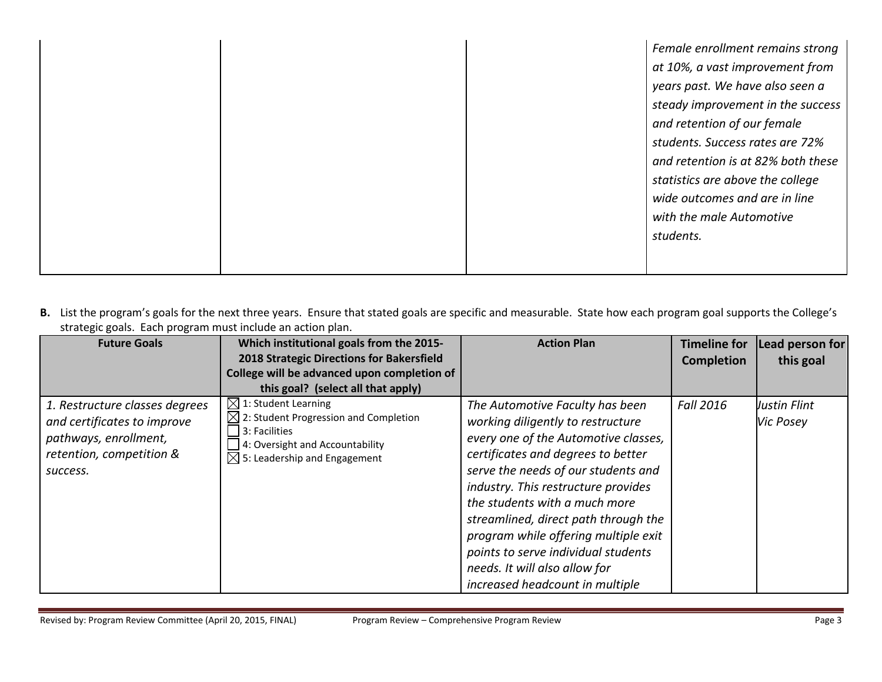|  | Female enrollment remains strong   |
|--|------------------------------------|
|  | at 10%, a vast improvement from    |
|  | years past. We have also seen a    |
|  | steady improvement in the success  |
|  | and retention of our female        |
|  | students. Success rates are 72%    |
|  | and retention is at 82% both these |
|  | statistics are above the college   |
|  | wide outcomes and are in line      |
|  | with the male Automotive           |
|  | students.                          |
|  |                                    |
|  |                                    |

B. List the program's goals for the next three years. Ensure that stated goals are specific and measurable. State how each program goal supports the College's strategic goals. Each program must include an action plan.

| <b>Future Goals</b>                                                                                                            | Which institutional goals from the 2015-<br>2018 Strategic Directions for Bakersfield<br>College will be advanced upon completion of<br>this goal? (select all that apply)           | <b>Action Plan</b>                                                                                                                                                                                                                                                                                                                                                                                                                                           | <b>Timeline for</b><br><b>Completion</b> | Lead person for<br>this goal |
|--------------------------------------------------------------------------------------------------------------------------------|--------------------------------------------------------------------------------------------------------------------------------------------------------------------------------------|--------------------------------------------------------------------------------------------------------------------------------------------------------------------------------------------------------------------------------------------------------------------------------------------------------------------------------------------------------------------------------------------------------------------------------------------------------------|------------------------------------------|------------------------------|
| 1. Restructure classes degrees<br>and certificates to improve<br>pathways, enrollment,<br>retention, competition &<br>success. | $\boxtimes$ 1: Student Learning<br>$\boxtimes$ 2: Student Progression and Completion<br>3: Facilities<br>4: Oversight and Accountability<br>$\boxtimes$ 5: Leadership and Engagement | The Automotive Faculty has been<br>working diligently to restructure<br>every one of the Automotive classes,<br>certificates and degrees to better<br>serve the needs of our students and<br>industry. This restructure provides<br>the students with a much more<br>streamlined, direct path through the<br>program while offering multiple exit<br>points to serve individual students<br>needs. It will also allow for<br>increased headcount in multiple | <b>Fall 2016</b>                         | Justin Flint<br>Vic Posey    |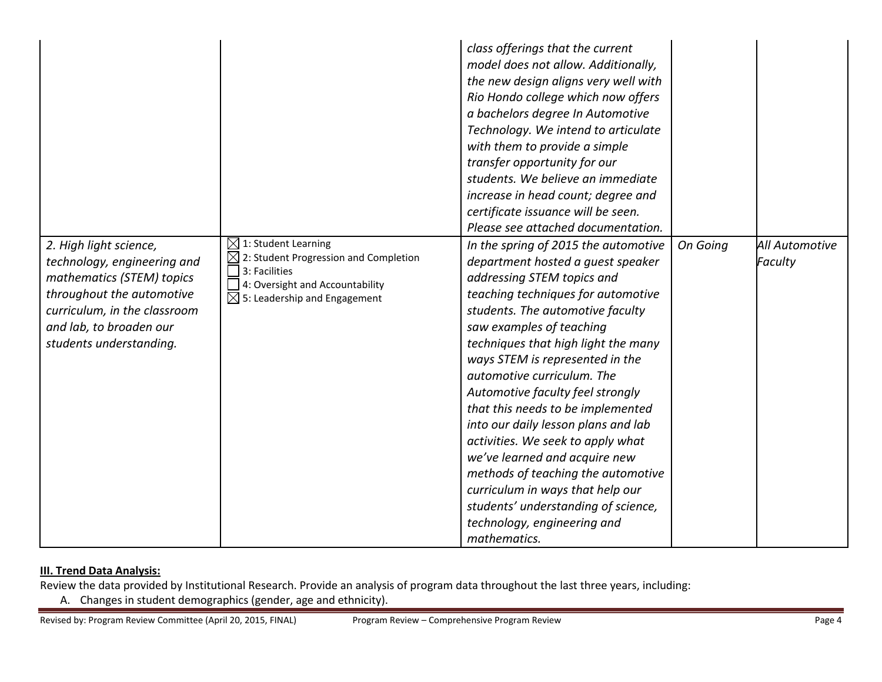|                                                                                                                                                                                                       |                                                                                                                                                                          | class offerings that the current<br>model does not allow. Additionally,<br>the new design aligns very well with<br>Rio Hondo college which now offers<br>a bachelors degree In Automotive<br>Technology. We intend to articulate<br>with them to provide a simple<br>transfer opportunity for our<br>students. We believe an immediate<br>increase in head count; degree and<br>certificate issuance will be seen.<br>Please see attached documentation.                                                                                                                                                                                                                    |          |                           |
|-------------------------------------------------------------------------------------------------------------------------------------------------------------------------------------------------------|--------------------------------------------------------------------------------------------------------------------------------------------------------------------------|-----------------------------------------------------------------------------------------------------------------------------------------------------------------------------------------------------------------------------------------------------------------------------------------------------------------------------------------------------------------------------------------------------------------------------------------------------------------------------------------------------------------------------------------------------------------------------------------------------------------------------------------------------------------------------|----------|---------------------------|
| 2. High light science,<br>technology, engineering and<br>mathematics (STEM) topics<br>throughout the automotive<br>curriculum, in the classroom<br>and lab, to broaden our<br>students understanding. | $\boxtimes$ 1: Student Learning<br>2: Student Progression and Completion<br>3: Facilities<br>4: Oversight and Accountability<br>$\boxtimes$ 5: Leadership and Engagement | In the spring of 2015 the automotive<br>department hosted a guest speaker<br>addressing STEM topics and<br>teaching techniques for automotive<br>students. The automotive faculty<br>saw examples of teaching<br>techniques that high light the many<br>ways STEM is represented in the<br>automotive curriculum. The<br>Automotive faculty feel strongly<br>that this needs to be implemented<br>into our daily lesson plans and lab<br>activities. We seek to apply what<br>we've learned and acquire new<br>methods of teaching the automotive<br>curriculum in ways that help our<br>students' understanding of science,<br>technology, engineering and<br>mathematics. | On Going | All Automotive<br>Faculty |

## **III. Trend Data Analysis:**

Review the data provided by Institutional Research. Provide an analysis of program data throughout the last three years, including:

A. Changes in student demographics (gender, age and ethnicity).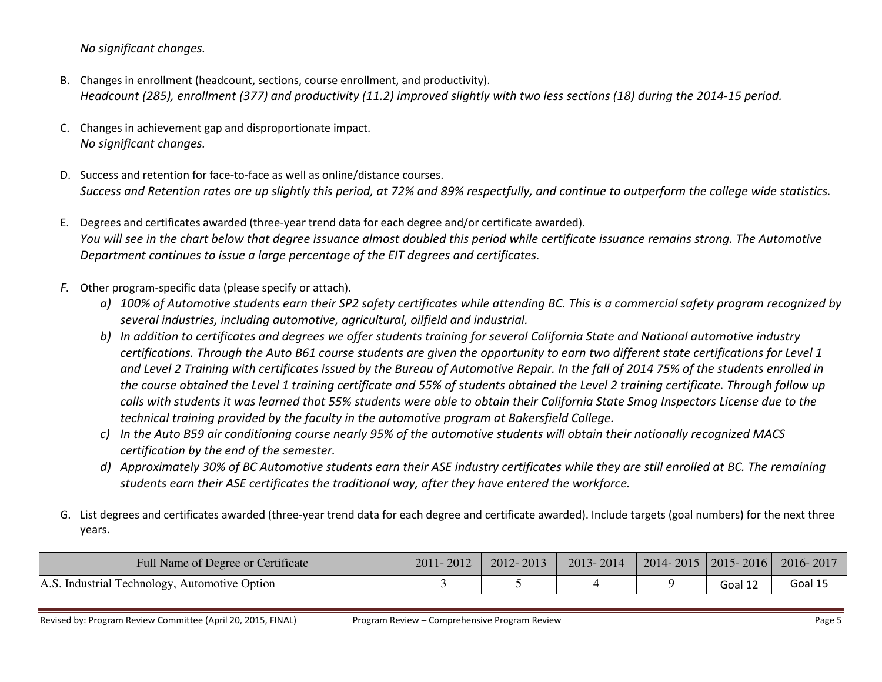No significant changes.

- B. Changes in enrollment (headcount, sections, course enrollment, and productivity). Headcount (285), enrollment (377) and productivity (11.2) improved slightly with two less sections (18) during the 2014-15 period.
- C. Changes in achievement gap and disproportionate impact. No significant changes.
- D. Success and retention for face-to-face as well as online/distance courses. Success and Retention rates are up slightly this period, at 72% and 89% respectfully, and continue to outperform the college wide statistics.
- E. Degrees and certificates awarded (three-year trend data for each degree and/or certificate awarded). You will see in the chart below that degree issuance almost doubled this period while certificate issuance remains strong. The Automotive Department continues to issue a large percentage of the EIT degrees and certificates.
- F. Other program-specific data (please specify or attach).
	- a) 100% of Automotive students earn their SP2 safety certificates while attending BC. This is a commercial safety program recognized by several industries, including automotive, agricultural, oilfield and industrial.
	- b) In addition to certificates and degrees we offer students training for several California State and National automotive industry certifications. Through the Auto B61 course students are given the opportunity to earn two different state certifications for Level 1 and Level 2 Training with certificates issued by the Bureau of Automotive Repair. In the fall of 2014 75% of the students enrolled in the course obtained the Level 1 training certificate and 55% of students obtained the Level 2 training certificate. Through follow up calls with students it was learned that 55% students were able to obtain their California State Smog Inspectors License due to the technical training provided by the faculty in the automotive program at Bakersfield College.
	- c) In the Auto B59 air conditioning course nearly 95% of the automotive students will obtain their nationally recognized MACS certification by the end of the semester.
	- d) Approximately 30% of BC Automotive students earn their ASE industry certificates while they are still enrolled at BC. The remaining students earn their ASE certificates the traditional way, after they have entered the workforce.
- G. List degrees and certificates awarded (three-year trend data for each degree and certificate awarded). Include targets (goal numbers) for the next three years.

| Full Name of Degree or Certificate            | 2011-2012 | 2012-2013 | 2013-2014 | $2014 - 2015$   2015 - 2016 |         | 2016-2017 |
|-----------------------------------------------|-----------|-----------|-----------|-----------------------------|---------|-----------|
| A.S. Industrial Technology, Automotive Option |           |           |           |                             | Goal 12 | Goal 1!   |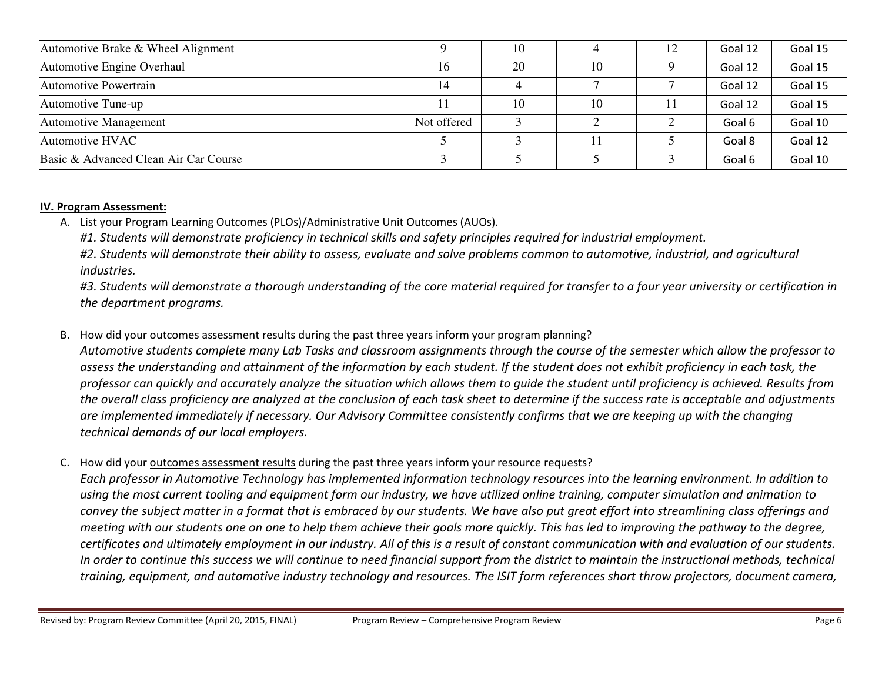| Automotive Brake & Wheel Alignment    |             | 10 |    | 12 | Goal 12 | Goal 15 |
|---------------------------------------|-------------|----|----|----|---------|---------|
| Automotive Engine Overhaul            | 16          | 20 | 10 |    | Goal 12 | Goal 15 |
| Automotive Powertrain                 | 14          |    |    |    | Goal 12 | Goal 15 |
| Automotive Tune-up                    |             | 10 | 10 |    | Goal 12 | Goal 15 |
| <b>Automotive Management</b>          | Not offered |    |    |    | Goal 6  | Goal 10 |
| Automotive HVAC                       |             |    |    |    | Goal 8  | Goal 12 |
| Basic & Advanced Clean Air Car Course |             |    |    |    | Goal 6  | Goal 10 |

#### IV. Program Assessment:

A. List your Program Learning Outcomes (PLOs)/Administrative Unit Outcomes (AUOs).

#1. Students will demonstrate proficiency in technical skills and safety principles required for industrial employment.

#2. Students will demonstrate their ability to assess, evaluate and solve problems common to automotive, industrial, and agricultural industries.

#3. Students will demonstrate a thorough understanding of the core material required for transfer to a four year university or certification in the department programs.

B. How did your outcomes assessment results during the past three years inform your program planning?

Automotive students complete many Lab Tasks and classroom assignments through the course of the semester which allow the professor to assess the understanding and attainment of the information by each student. If the student does not exhibit proficiency in each task, the professor can quickly and accurately analyze the situation which allows them to guide the student until proficiency is achieved. Results from the overall class proficiency are analyzed at the conclusion of each task sheet to determine if the success rate is acceptable and adjustments are implemented immediately if necessary. Our Advisory Committee consistently confirms that we are keeping up with the changing technical demands of our local employers.

C. How did your <u>outcomes assessment results</u> during the past three years inform your resource requests?

Each professor in Automotive Technology has implemented information technology resources into the learning environment. In addition to using the most current tooling and equipment form our industry, we have utilized online training, computer simulation and animation to convey the subject matter in a format that is embraced by our students. We have also put great effort into streamlining class offerings and meeting with our students one on one to help them achieve their goals more quickly. This has led to improving the pathway to the degree, certificates and ultimately employment in our industry. All of this is a result of constant communication with and evaluation of our students. In order to continue this success we will continue to need financial support from the district to maintain the instructional methods, technical training, equipment, and automotive industry technology and resources. The ISIT form references short throw projectors, document camera,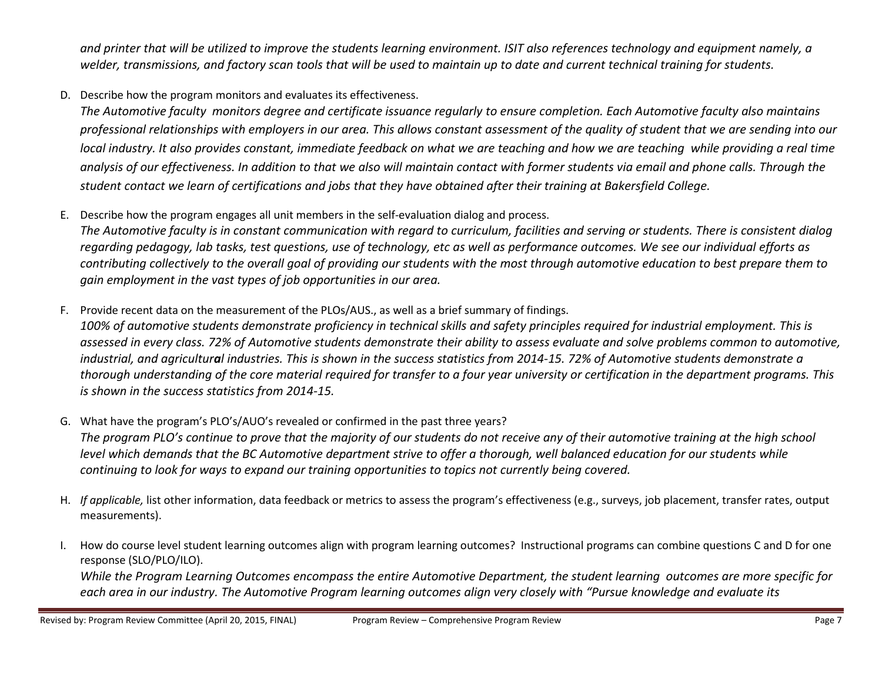and printer that will be utilized to improve the students learning environment. ISIT also references technology and equipment namely, a welder, transmissions, and factory scan tools that will be used to maintain up to date and current technical training for students.

D. Describe how the program monitors and evaluates its effectiveness.

The Automotive faculty monitors degree and certificate issuance regularly to ensure completion. Each Automotive faculty also maintains professional relationships with employers in our area. This allows constant assessment of the quality of student that we are sending into our local industry. It also provides constant, immediate feedback on what we are teaching and how we are teaching while providing a real time analysis of our effectiveness. In addition to that we also will maintain contact with former students via email and phone calls. Through the student contact we learn of certifications and jobs that they have obtained after their training at Bakersfield College.

E. Describe how the program engages all unit members in the self-evaluation dialog and process.

The Automotive faculty is in constant communication with regard to curriculum, facilities and serving or students. There is consistent dialog regarding pedagogy, lab tasks, test questions, use of technology, etc as well as performance outcomes. We see our individual efforts as contributing collectively to the overall goal of providing our students with the most through automotive education to best prepare them to gain employment in the vast types of job opportunities in our area.

F. Provide recent data on the measurement of the PLOs/AUS., as well as a brief summary of findings. 100% of automotive students demonstrate proficiency in technical skills and safety principles required for industrial employment. This is assessed in every class. 72% of Automotive students demonstrate their ability to assess evaluate and solve problems common to automotive, industrial, and agricultural industries. This is shown in the success statistics from 2014-15. 72% of Automotive students demonstrate a thorough understanding of the core material required for transfer to a four year university or certification in the department programs. This is shown in the success statistics from 2014-15.

- G. What have the program's PLO's/AUO's revealed or confirmed in the past three years? The program PLO's continue to prove that the majority of our students do not receive any of their automotive training at the high school level which demands that the BC Automotive department strive to offer a thorough, well balanced education for our students while continuing to look for ways to expand our training opportunities to topics not currently being covered.
- H. If applicable, list other information, data feedback or metrics to assess the program's effectiveness (e.g., surveys, job placement, transfer rates, output measurements).
- I. How do course level student learning outcomes align with program learning outcomes? Instructional programs can combine questions C and D for one response (SLO/PLO/ILO).

While the Program Learning Outcomes encompass the entire Automotive Department, the student learning outcomes are more specific for each area in our industry. The Automotive Program learning outcomes align very closely with "Pursue knowledge and evaluate its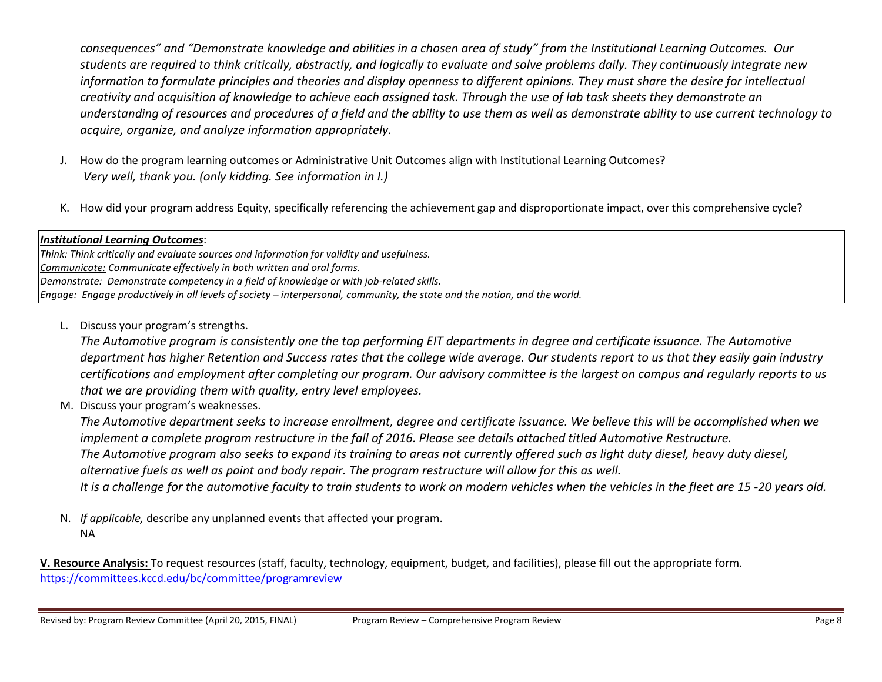consequences" and "Demonstrate knowledge and abilities in a chosen area of study" from the Institutional Learning Outcomes. Our students are required to think critically, abstractly, and logically to evaluate and solve problems daily. They continuously integrate new information to formulate principles and theories and display openness to different opinions. They must share the desire for intellectual creativity and acquisition of knowledge to achieve each assigned task. Through the use of lab task sheets they demonstrate an understanding of resources and procedures of a field and the ability to use them as well as demonstrate ability to use current technology to acquire, organize, and analyze information appropriately.

- J. How do the program learning outcomes or Administrative Unit Outcomes align with Institutional Learning Outcomes? Very well, thank you. (only kidding. See information in I.)
- K. How did your program address Equity, specifically referencing the achievement gap and disproportionate impact, over this comprehensive cycle?

## Institutional Learning Outcomes:

Think: Think critically and evaluate sources and information for validity and usefulness. Communicate: Communicate effectively in both written and oral forms. Demonstrate: Demonstrate competency in a field of knowledge or with job-related skills. Engage: Engage productively in all levels of society – interpersonal, community, the state and the nation, and the world.

L. Discuss your program's strengths.

The Automotive program is consistently one the top performing EIT departments in degree and certificate issuance. The Automotive department has higher Retention and Success rates that the college wide average. Our students report to us that they easily gain industry certifications and employment after completing our program. Our advisory committee is the largest on campus and regularly reports to us that we are providing them with quality, entry level employees.

M. Discuss your program's weaknesses.

The Automotive department seeks to increase enrollment, degree and certificate issuance. We believe this will be accomplished when we implement a complete program restructure in the fall of 2016. Please see details attached titled Automotive Restructure. The Automotive program also seeks to expand its training to areas not currently offered such as light duty diesel, heavy duty diesel, alternative fuels as well as paint and body repair. The program restructure will allow for this as well. It is a challenge for the automotive faculty to train students to work on modern vehicles when the vehicles in the fleet are 15 -20 years old.

N. If applicable, describe any unplanned events that affected your program. NA

V. Resource Analysis: To request resources (staff, faculty, technology, equipment, budget, and facilities), please fill out the appropriate form. https://committees.kccd.edu/bc/committee/programreview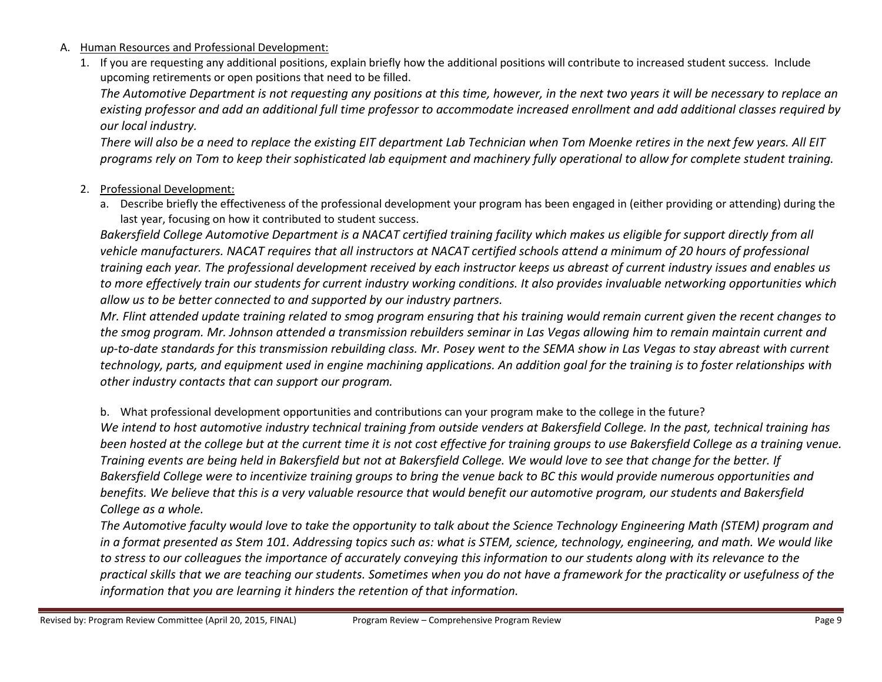- A. Human Resources and Professional Development:
	- 1. If you are requesting any additional positions, explain briefly how the additional positions will contribute to increased student success. Include upcoming retirements or open positions that need to be filled.

The Automotive Department is not requesting any positions at this time, however, in the next two years it will be necessary to replace an existing professor and add an additional full time professor to accommodate increased enrollment and add additional classes required by our local industry.

There will also be a need to replace the existing EIT department Lab Technician when Tom Moenke retires in the next few years. All EIT programs rely on Tom to keep their sophisticated lab equipment and machinery fully operational to allow for complete student training.

## 2. Professional Development:

a. Describe briefly the effectiveness of the professional development your program has been engaged in (either providing or attending) during the last year, focusing on how it contributed to student success.

Bakersfield College Automotive Department is a NACAT certified training facility which makes us eligible for support directly from all vehicle manufacturers. NACAT requires that all instructors at NACAT certified schools attend a minimum of 20 hours of professional training each year. The professional development received by each instructor keeps us abreast of current industry issues and enables us to more effectively train our students for current industry working conditions. It also provides invaluable networking opportunities which allow us to be better connected to and supported by our industry partners.

Mr. Flint attended update training related to smog program ensuring that his training would remain current given the recent changes to the smog program. Mr. Johnson attended a transmission rebuilders seminar in Las Vegas allowing him to remain maintain current and up-to-date standards for this transmission rebuilding class. Mr. Posey went to the SEMA show in Las Vegas to stay abreast with current technology, parts, and equipment used in engine machining applications. An addition goal for the training is to foster relationships with other industry contacts that can support our program.

b. What professional development opportunities and contributions can your program make to the college in the future?

We intend to host automotive industry technical training from outside venders at Bakersfield College. In the past, technical training has been hosted at the college but at the current time it is not cost effective for training groups to use Bakersfield College as a training venue. Training events are being held in Bakersfield but not at Bakersfield College. We would love to see that change for the better. If Bakersfield College were to incentivize training groups to bring the venue back to BC this would provide numerous opportunities and benefits. We believe that this is a very valuable resource that would benefit our automotive program, our students and Bakersfield College as a whole.

The Automotive faculty would love to take the opportunity to talk about the Science Technology Engineering Math (STEM) program and in a format presented as Stem 101. Addressing topics such as: what is STEM, science, technology, engineering, and math. We would like to stress to our colleagues the importance of accurately conveying this information to our students along with its relevance to the practical skills that we are teaching our students. Sometimes when you do not have a framework for the practicality or usefulness of the information that you are learning it hinders the retention of that information.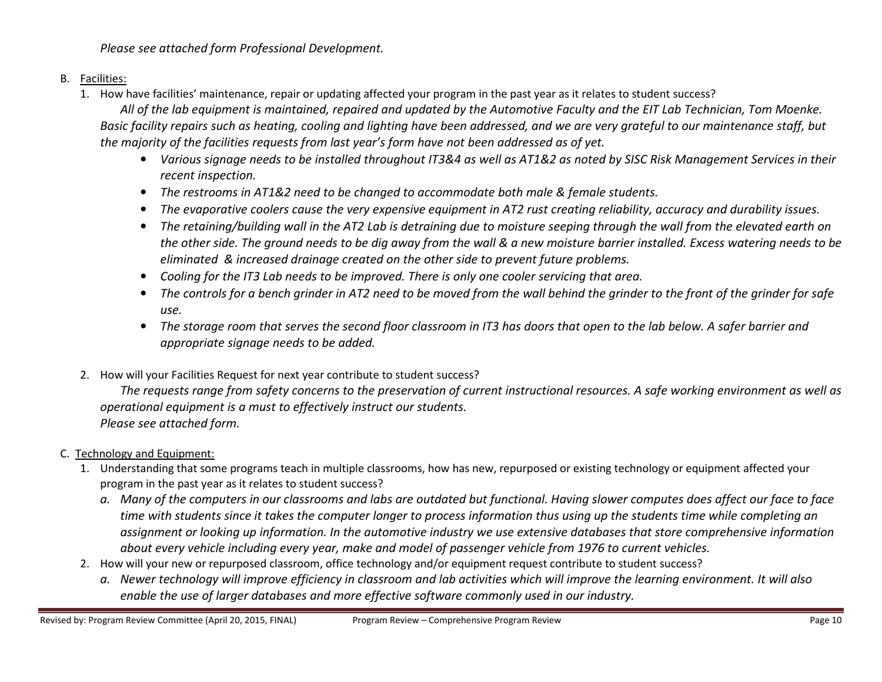Please see attached form Professional Development.

## B. <u>Facilities:</u>

1. How have facilities' maintenance, repair or updating affected your program in the past year as it relates to student success?

All of the lab equipment is maintained, repaired and updated by the Automotive Faculty and the EIT Lab Technician, Tom Moenke. Basic facility repairs such as heating, cooling and lighting have been addressed, and we are very grateful to our maintenance staff, but the majority of the facilities requests from last year's form have not been addressed as of yet.

- Various signage needs to be installed throughout IT3&4 as well as AT1&2 as noted by SISC Risk Management Services in their recent inspection.
- The restrooms in AT1&2 need to be changed to accommodate both male & female students.
- The evaporative coolers cause the very expensive equipment in AT2 rust creating reliability, accuracy and durability issues.
- The retaining/building wall in the AT2 Lab is detraining due to moisture seeping through the wall from the elevated earth on the other side. The ground needs to be dig away from the wall & a new moisture barrier installed. Excess watering needs to be eliminated & increased drainage created on the other side to prevent future problems.
- Cooling for the IT3 Lab needs to be improved. There is only one cooler servicing that area.
- The controls for a bench grinder in AT2 need to be moved from the wall behind the grinder to the front of the grinder for safe use.
- The storage room that serves the second floor classroom in IT3 has doors that open to the lab below. A safer barrier and appropriate signage needs to be added.
- 2. How will your Facilities Request for next year contribute to student success?

The requests range from safety concerns to the preservation of current instructional resources. A safe working environment as well as operational equipment is a must to effectively instruct our students. Please see attached form.

# C. Technology and Equipment:

- 1. Understanding that some programs teach in multiple classrooms, how has new, repurposed or existing technology or equipment affected your program in the past year as it relates to student success?
	- a. Many of the computers in our classrooms and labs are outdated but functional. Having slower computes does affect our face to face time with students since it takes the computer longer to process information thus using up the students time while completing an assignment or looking up information. In the automotive industry we use extensive databases that store comprehensive information about every vehicle including every year, make and model of passenger vehicle from 1976 to current vehicles.
- 2. How will your new or repurposed classroom, office technology and/or equipment request contribute to student success?
	- a. Newer technology will improve efficiency in classroom and lab activities which will improve the learning environment. It will also enable the use of larger databases and more effective software commonly used in our industry.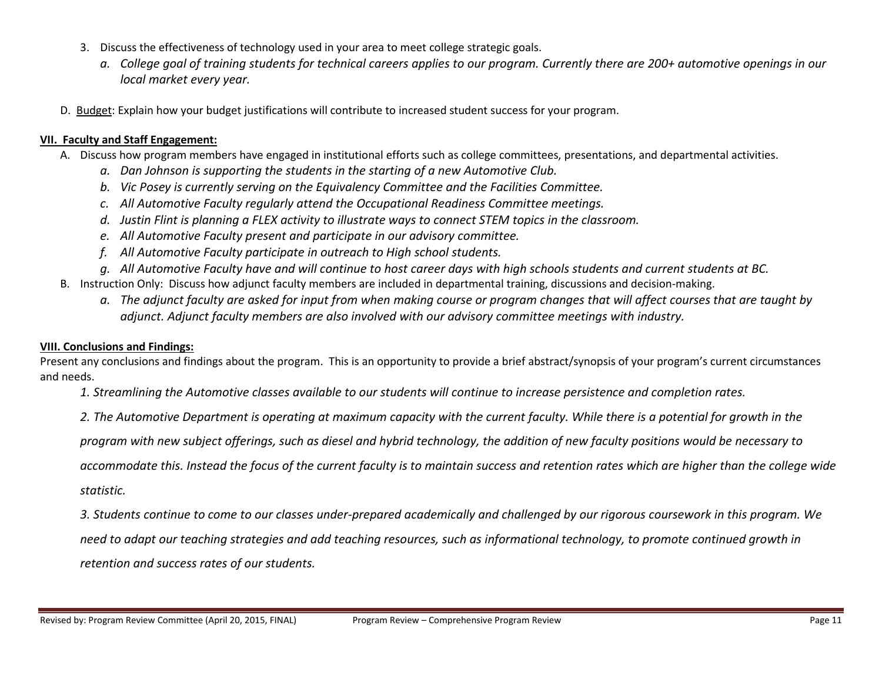- 3. Discuss the effectiveness of technology used in your area to meet college strategic goals.
	- a. College goal of training students for technical careers applies to our program. Currently there are 200+ automotive openings in our local market every year.
- D. Budget: Explain how your budget justifications will contribute to increased student success for your program.

#### VII. Faculty and Staff Engagement:

- A. Discuss how program members have engaged in institutional efforts such as college committees, presentations, and departmental activities.
	- a. Dan Johnson is supporting the students in the starting of a new Automotive Club.
	- b. Vic Posey is currently serving on the Equivalency Committee and the Facilities Committee.
	- c. All Automotive Faculty regularly attend the Occupational Readiness Committee meetings.
	- d. Justin Flint is planning a FLEX activity to illustrate ways to connect STEM topics in the classroom.
	- e. All Automotive Faculty present and participate in our advisory committee.
	- f. All Automotive Faculty participate in outreach to High school students.
	- g. All Automotive Faculty have and will continue to host career days with high schools students and current students at BC.
- B. Instruction Only: Discuss how adjunct faculty members are included in departmental training, discussions and decision-making.
	- a. The adjunct faculty are asked for input from when making course or program changes that will affect courses that are taught by adjunct. Adjunct faculty members are also involved with our advisory committee meetings with industry.

#### VIII. Conclusions and Findings:

Present any conclusions and findings about the program. This is an opportunity to provide a brief abstract/synopsis of your program's current circumstances and needs.

- 1. Streamlining the Automotive classes available to our students will continue to increase persistence and completion rates.
- 2. The Automotive Department is operating at maximum capacity with the current faculty. While there is a potential for growth in the

program with new subject offerings, such as diesel and hybrid technology, the addition of new faculty positions would be necessary to

accommodate this. Instead the focus of the current faculty is to maintain success and retention rates which are higher than the college wide statistic.

3. Students continue to come to our classes under-prepared academically and challenged by our rigorous coursework in this program. We need to adapt our teaching strategies and add teaching resources, such as informational technology, to promote continued growth in retention and success rates of our students.